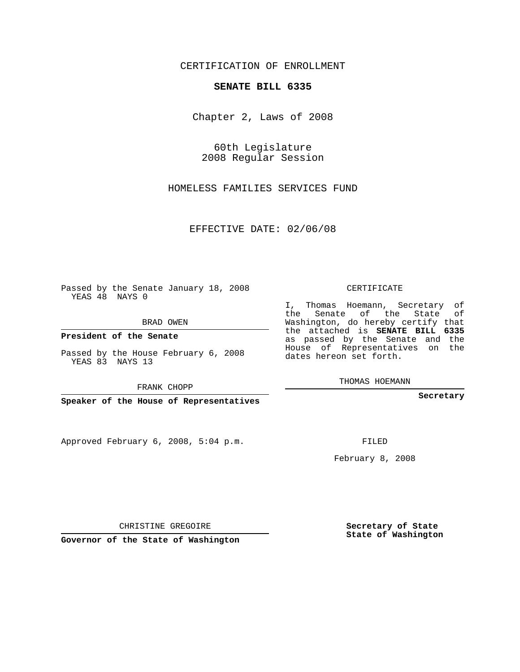CERTIFICATION OF ENROLLMENT

## **SENATE BILL 6335**

Chapter 2, Laws of 2008

60th Legislature 2008 Regular Session

HOMELESS FAMILIES SERVICES FUND

EFFECTIVE DATE: 02/06/08

Passed by the Senate January 18, 2008 YEAS 48 NAYS 0

BRAD OWEN

**President of the Senate**

Passed by the House February 6, 2008 YEAS 83 NAYS 13

FRANK CHOPP

**Speaker of the House of Representatives**

Approved February 6, 2008, 5:04 p.m.

CERTIFICATE

I, Thomas Hoemann, Secretary of the Senate of the State of Washington, do hereby certify that the attached is **SENATE BILL 6335** as passed by the Senate and the House of Representatives on the dates hereon set forth.

THOMAS HOEMANN

**Secretary**

FILED

February 8, 2008

CHRISTINE GREGOIRE

**Governor of the State of Washington**

**Secretary of State State of Washington**